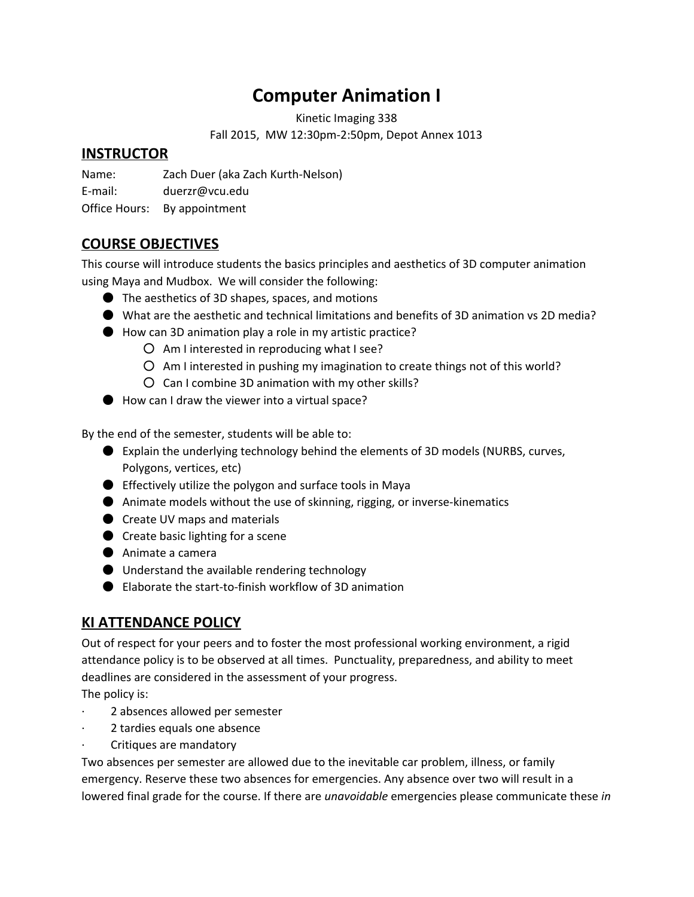# **Computer Animation I**

Kinetic Imaging 338

Fall 2015, MW 12:30pm-2:50pm, Depot Annex 1013

### **INSTRUCTOR**

Name: Zach Duer (aka Zach Kurth-Nelson)

E-mail: duerzr@vcu.edu

Office Hours: By appointment

### **COURSE OBJECTIVES**

This course will introduce students the basics principles and aesthetics of 3D computer animation using Maya and Mudbox. We will consider the following:

- The aesthetics of 3D shapes, spaces, and motions
- What are the aesthetic and technical limitations and benefits of 3D animation vs 2D media?
- How can 3D animation play a role in my artistic practice?
	- Am I interested in reproducing what I see?
	- Am I interested in pushing my imagination to create things not of this world?
	- Can I combine 3D animation with my other skills?
- How can I draw the viewer into a virtual space?

By the end of the semester, students will be able to:

- Explain the underlying technology behind the elements of 3D models (NURBS, curves, Polygons, vertices, etc)
- Effectively utilize the polygon and surface tools in Maya
- Animate models without the use of skinning, rigging, or inverse-kinematics
- Create UV maps and materials
- Create basic lighting for a scene
- Animate a camera
- Understand the available rendering technology
- Elaborate the start-to-finish workflow of 3D animation

### **KI ATTENDANCE POLICY**

Out of respect for your peers and to foster the most professional working environment, a rigid attendance policy is to be observed at all times. Punctuality, preparedness, and ability to meet deadlines are considered in the assessment of your progress.

The policy is:

- 2 absences allowed per semester
- 2 tardies equals one absence
- Critiques are mandatory

Two absences per semester are allowed due to the inevitable car problem, illness, or family emergency. Reserve these two absences for emergencies. Any absence over two will result in a lowered final grade for the course. If there are *unavoidable* emergencies please communicate these *in*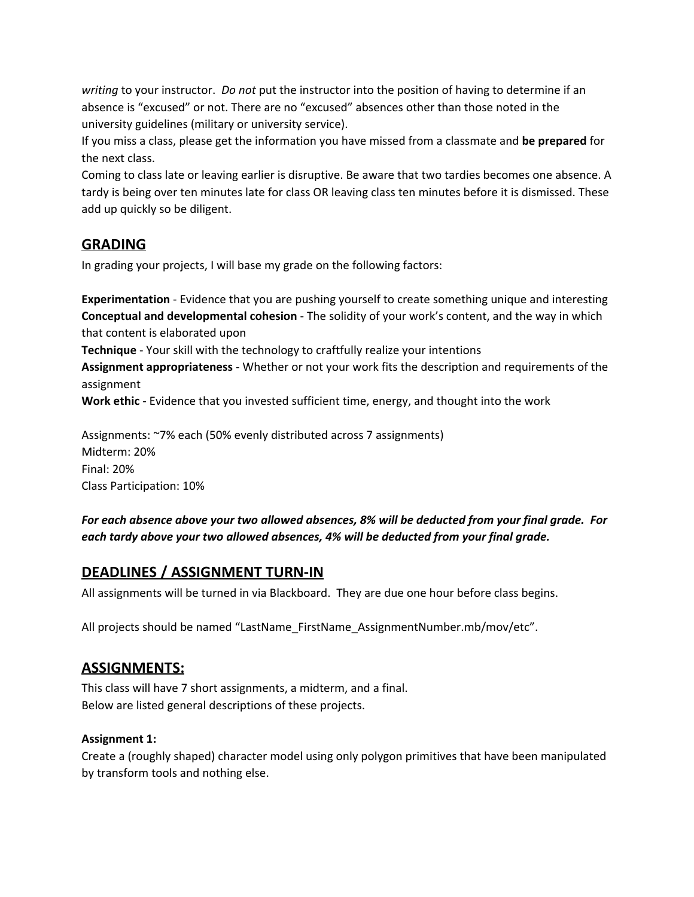*writing* to your instructor. *Do not* put the instructor into the position of having to determine if an absence is "excused" or not. There are no "excused" absences other than those noted in the university guidelines (military or university service).

If you miss a class, please get the information you have missed from a classmate and **be prepared**for the next class.

Coming to class late or leaving earlier is disruptive. Be aware that two tardies becomes one absence. A tardy is being over ten minutes late for class OR leaving class ten minutes before it is dismissed. These add up quickly so be diligent.

### **GRADING**

In grading your projects, I will base my grade on the following factors:

**Experimentation** - Evidence that you are pushing yourself to create something unique and interesting **Conceptual and developmental cohesion**- The solidity of your work's content, and the way in which that content is elaborated upon

**Technique**- Your skill with the technology to craftfully realize your intentions

**Assignment appropriateness**- Whether or not your work fits the description and requirements of the assignment

**Work ethic**- Evidence that you invested sufficient time, energy, and thought into the work

Assignments: ~7% each (50% evenly distributed across 7 assignments) Midterm: 20% Final: 20% Class Participation: 10%

*For each absence above your two allowed absences, 8% will be deducted from your final grade. For each tardy above your two allowed absences, 4% will be deducted from your final grade.*

### **DEADLINES / ASSIGNMENT TURN-IN**

All assignments will be turned in via Blackboard. They are due one hour before class begins.

All projects should be named "LastName\_FirstName\_AssignmentNumber.mb/mov/etc".

### **ASSIGNMENTS:**

This class will have 7 short assignments, a midterm, and a final. Below are listed general descriptions of these projects.

### **Assignment 1:**

Create a (roughly shaped) character model using only polygon primitives that have been manipulated by transform tools and nothing else.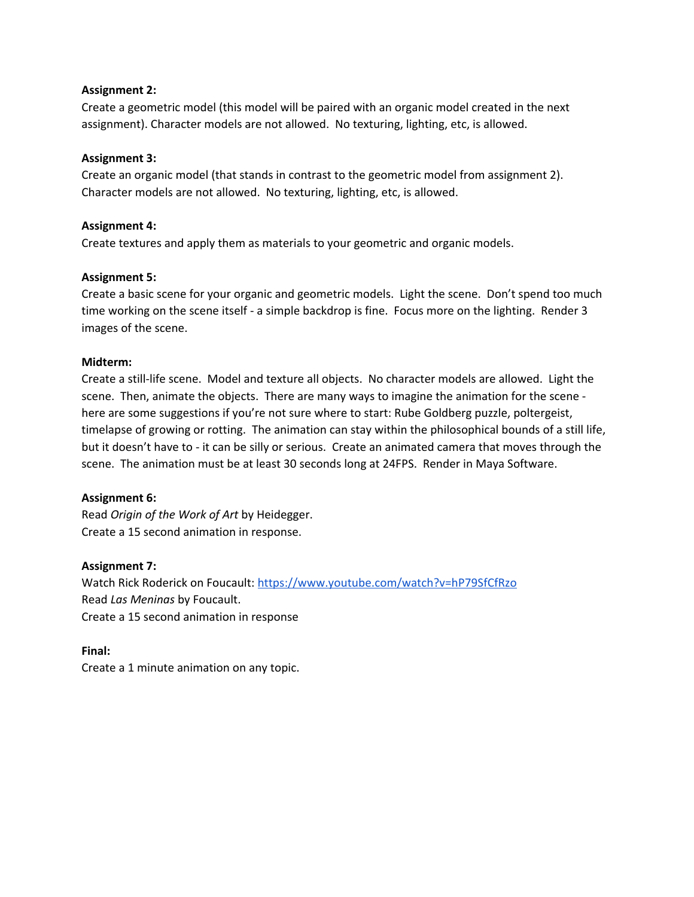#### **Assignment 2:**

Create a geometric model (this model will be paired with an organic model created in the next assignment). Character models are not allowed. No texturing, lighting, etc, is allowed.

#### **Assignment 3:**

Create an organic model (that stands in contrast to the geometric model from assignment 2). Character models are not allowed. No texturing, lighting, etc, is allowed.

#### **Assignment 4:**

Create textures and apply them as materials to your geometric and organic models.

#### **Assignment 5:**

Create a basic scene for your organic and geometric models. Light the scene. Don't spend too much time working on the scene itself - a simple backdrop is fine. Focus more on the lighting. Render 3 images of the scene.

#### **Midterm:**

Create a still-life scene. Model and texture all objects. No character models are allowed. Light the scene. Then, animate the objects. There are many ways to imagine the animation for the scene here are some suggestions if you're not sure where to start: Rube Goldberg puzzle, poltergeist, timelapse of growing or rotting. The animation can stay within the philosophical bounds of a still life, but it doesn't have to - it can be silly or serious. Create an animated camera that moves through the scene. The animation must be at least 30 seconds long at 24FPS. Render in Maya Software.

#### **Assignment 6:**

Read *Origin of the Work of Art* by Heidegger. Create a 15 second animation in response.

#### **Assignment 7:**

Watch Rick Roderick on Foucault: <https://www.youtube.com/watch?v=hP79SfCfRzo> Read *Las Meninas* by Foucault. Create a 15 second animation in response

**Final:** Create a 1 minute animation on any topic.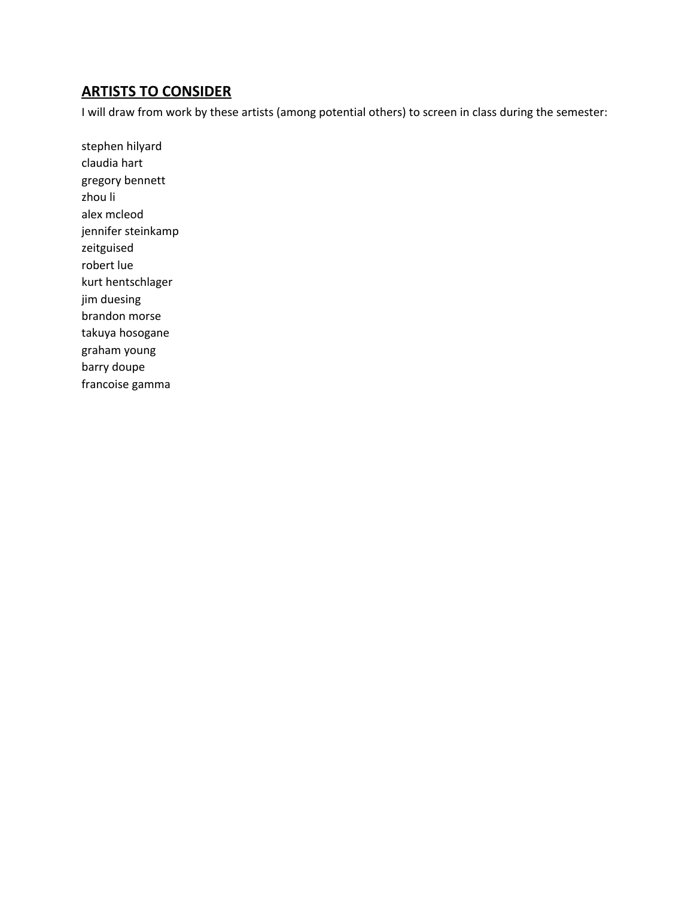## **ARTISTS TO CONSIDER**

I will draw from work by these artists (among potential others) to screen in class during the semester:

stephen hilyard claudia hart gregory bennett zhou li alex mcleod jennifer steinkamp zeitguised robert lue kurt hentschlager jim duesing brandon morse takuya hosogane graham young barry doupe francoise gamma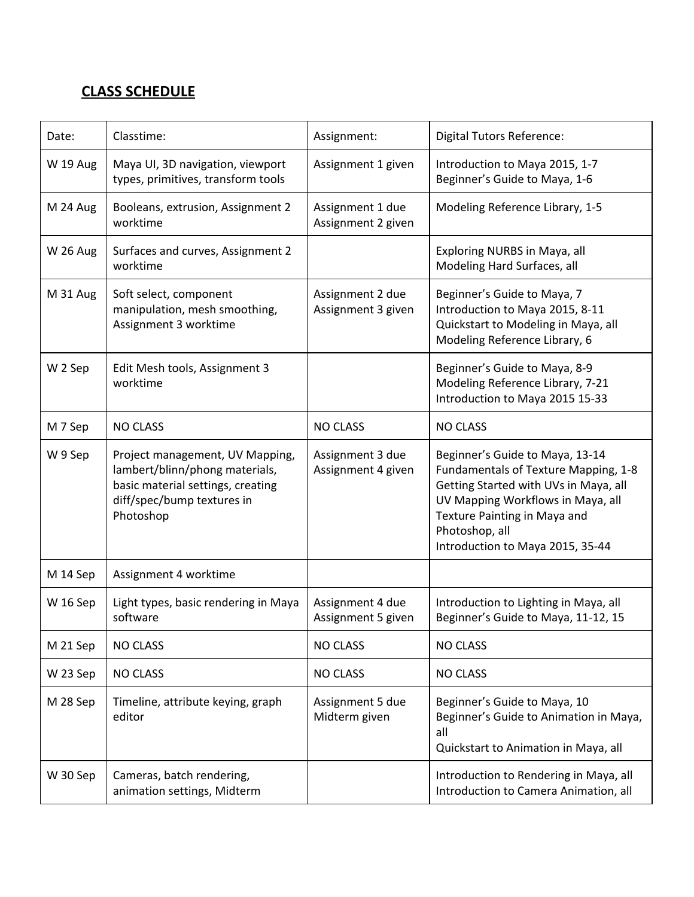### **CLASS SCHEDULE**

| Date:           | Classtime:                                                                                                                                        | Assignment:                            | <b>Digital Tutors Reference:</b>                                                                                                                                                                                                            |
|-----------------|---------------------------------------------------------------------------------------------------------------------------------------------------|----------------------------------------|---------------------------------------------------------------------------------------------------------------------------------------------------------------------------------------------------------------------------------------------|
| W 19 Aug        | Maya UI, 3D navigation, viewport<br>types, primitives, transform tools                                                                            | Assignment 1 given                     | Introduction to Maya 2015, 1-7<br>Beginner's Guide to Maya, 1-6                                                                                                                                                                             |
| M 24 Aug        | Booleans, extrusion, Assignment 2<br>worktime                                                                                                     | Assignment 1 due<br>Assignment 2 given | Modeling Reference Library, 1-5                                                                                                                                                                                                             |
| <b>W 26 Aug</b> | Surfaces and curves, Assignment 2<br>worktime                                                                                                     |                                        | Exploring NURBS in Maya, all<br>Modeling Hard Surfaces, all                                                                                                                                                                                 |
| M 31 Aug        | Soft select, component<br>manipulation, mesh smoothing,<br>Assignment 3 worktime                                                                  | Assignment 2 due<br>Assignment 3 given | Beginner's Guide to Maya, 7<br>Introduction to Maya 2015, 8-11<br>Quickstart to Modeling in Maya, all<br>Modeling Reference Library, 6                                                                                                      |
| W 2 Sep         | Edit Mesh tools, Assignment 3<br>worktime                                                                                                         |                                        | Beginner's Guide to Maya, 8-9<br>Modeling Reference Library, 7-21<br>Introduction to Maya 2015 15-33                                                                                                                                        |
| M 7 Sep         | <b>NO CLASS</b>                                                                                                                                   | <b>NO CLASS</b>                        | <b>NO CLASS</b>                                                                                                                                                                                                                             |
| W 9 Sep         | Project management, UV Mapping,<br>lambert/blinn/phong materials,<br>basic material settings, creating<br>diff/spec/bump textures in<br>Photoshop | Assignment 3 due<br>Assignment 4 given | Beginner's Guide to Maya, 13-14<br>Fundamentals of Texture Mapping, 1-8<br>Getting Started with UVs in Maya, all<br>UV Mapping Workflows in Maya, all<br>Texture Painting in Maya and<br>Photoshop, all<br>Introduction to Maya 2015, 35-44 |
| M 14 Sep        | Assignment 4 worktime                                                                                                                             |                                        |                                                                                                                                                                                                                                             |
| W 16 Sep        | Light types, basic rendering in Maya<br>software                                                                                                  | Assignment 4 due<br>Assignment 5 given | Introduction to Lighting in Maya, all<br>Beginner's Guide to Maya, 11-12, 15                                                                                                                                                                |
| M 21 Sep        | <b>NO CLASS</b>                                                                                                                                   | <b>NO CLASS</b>                        | <b>NO CLASS</b>                                                                                                                                                                                                                             |
| W 23 Sep        | <b>NO CLASS</b>                                                                                                                                   | <b>NO CLASS</b>                        | <b>NO CLASS</b>                                                                                                                                                                                                                             |
| M 28 Sep        | Timeline, attribute keying, graph<br>editor                                                                                                       | Assignment 5 due<br>Midterm given      | Beginner's Guide to Maya, 10<br>Beginner's Guide to Animation in Maya,<br>all<br>Quickstart to Animation in Maya, all                                                                                                                       |
| W 30 Sep        | Cameras, batch rendering,<br>animation settings, Midterm                                                                                          |                                        | Introduction to Rendering in Maya, all<br>Introduction to Camera Animation, all                                                                                                                                                             |